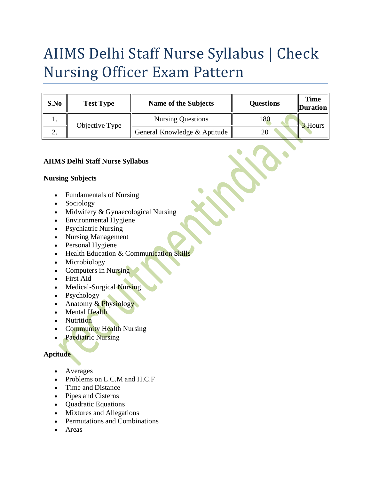# AIIMS Delhi Staff Nurse Syllabus | Check Nursing Officer Exam Pattern

| S.No | <b>Test Type</b> | Name of the Subjects         | <b>Questions</b> | <b>Time</b><br><b>Duration</b> |
|------|------------------|------------------------------|------------------|--------------------------------|
| . .  | Objective Type   | <b>Nursing Questions</b>     | 180              | 3 Hours                        |
| ۷.   |                  | General Knowledge & Aptitude |                  |                                |

### **AIIMS Delhi Staff Nurse Syllabus**

#### **Nursing Subjects**

- Fundamentals of Nursing
- Sociology
- Midwifery & Gynaecological Nursing
- Environmental Hygiene
- Psychiatric Nursing
- Nursing Management
- Personal Hygiene
- Health Education & Communication Skills
- Microbiology
- Computers in Nursing
- First Aid
- Medical-Surgical Nursing
- Psychology
- Anatomy  $& Physiology$
- Mental Health
- **Nutrition**
- Community Health Nursing
- Paediatric Nursing

## **Aptitude**

- Averages
- Problems on L.C.M and H.C.F
- Time and Distance
- Pipes and Cisterns
- Quadratic Equations
- Mixtures and Allegations
- Permutations and Combinations
- Areas